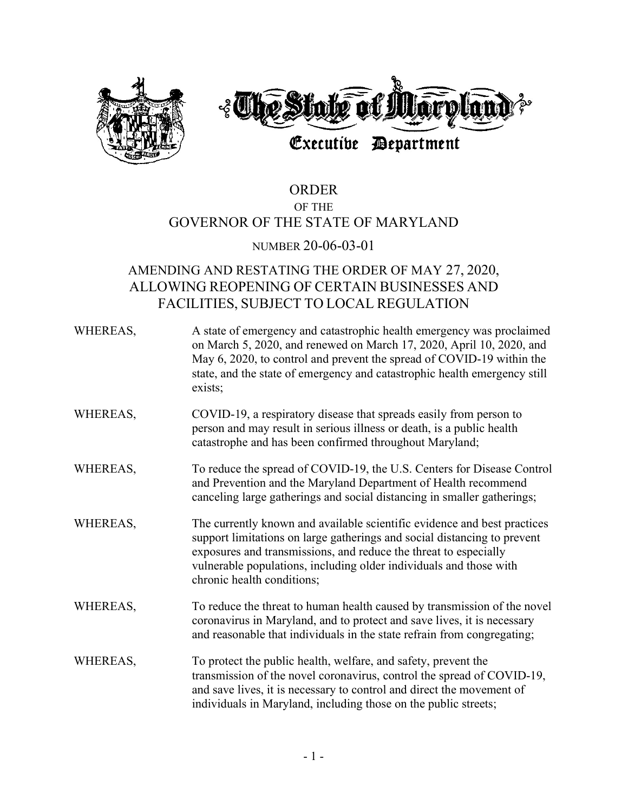

# ORDER OF THE GOVERNOR OF THE STATE OF MARYLAND

### NUMBER 20-06-03-01

## AMENDING AND RESTATING THE ORDER OF MAY 27, 2020, ALLOWING REOPENING OF CERTAIN BUSINESSES AND FACILITIES, SUBJECT TO LOCAL REGULATION

| WHEREAS, | A state of emergency and catastrophic health emergency was proclaimed<br>on March 5, 2020, and renewed on March 17, 2020, April 10, 2020, and<br>May 6, 2020, to control and prevent the spread of COVID-19 within the<br>state, and the state of emergency and catastrophic health emergency still<br>exists;               |
|----------|------------------------------------------------------------------------------------------------------------------------------------------------------------------------------------------------------------------------------------------------------------------------------------------------------------------------------|
| WHEREAS, | COVID-19, a respiratory disease that spreads easily from person to<br>person and may result in serious illness or death, is a public health<br>catastrophe and has been confirmed throughout Maryland;                                                                                                                       |
| WHEREAS, | To reduce the spread of COVID-19, the U.S. Centers for Disease Control<br>and Prevention and the Maryland Department of Health recommend<br>canceling large gatherings and social distancing in smaller gatherings;                                                                                                          |
| WHEREAS, | The currently known and available scientific evidence and best practices<br>support limitations on large gatherings and social distancing to prevent<br>exposures and transmissions, and reduce the threat to especially<br>vulnerable populations, including older individuals and those with<br>chronic health conditions; |
| WHEREAS, | To reduce the threat to human health caused by transmission of the novel<br>coronavirus in Maryland, and to protect and save lives, it is necessary<br>and reasonable that individuals in the state refrain from congregating;                                                                                               |
| WHEREAS, | To protect the public health, welfare, and safety, prevent the<br>transmission of the novel coronavirus, control the spread of COVID-19,<br>and save lives, it is necessary to control and direct the movement of<br>individuals in Maryland, including those on the public streets;                                         |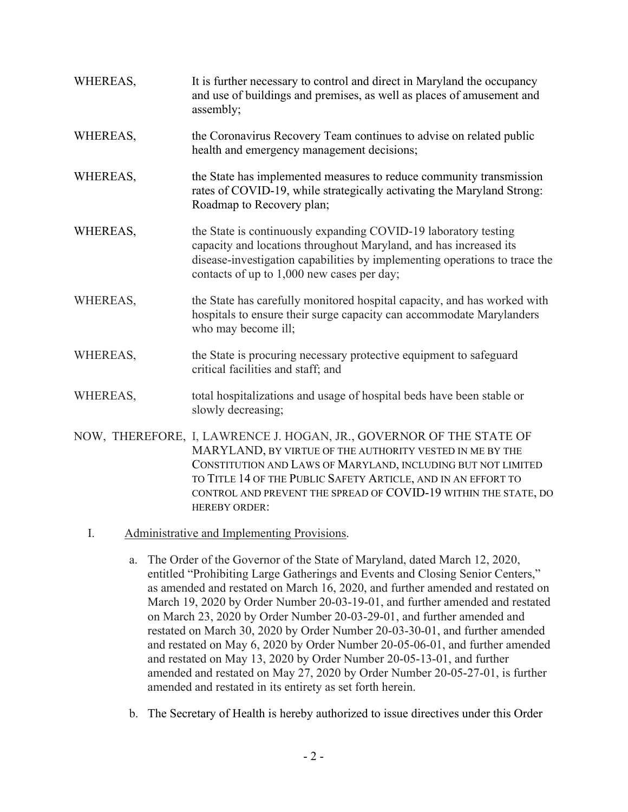| WHEREAS, | It is further necessary to control and direct in Maryland the occupancy<br>and use of buildings and premises, as well as places of amusement and<br>assembly;                                                                                                                                                                                               |
|----------|-------------------------------------------------------------------------------------------------------------------------------------------------------------------------------------------------------------------------------------------------------------------------------------------------------------------------------------------------------------|
| WHEREAS, | the Coronavirus Recovery Team continues to advise on related public<br>health and emergency management decisions;                                                                                                                                                                                                                                           |
| WHEREAS, | the State has implemented measures to reduce community transmission<br>rates of COVID-19, while strategically activating the Maryland Strong:<br>Roadmap to Recovery plan;                                                                                                                                                                                  |
| WHEREAS, | the State is continuously expanding COVID-19 laboratory testing<br>capacity and locations throughout Maryland, and has increased its<br>disease-investigation capabilities by implementing operations to trace the<br>contacts of up to 1,000 new cases per day;                                                                                            |
| WHEREAS, | the State has carefully monitored hospital capacity, and has worked with<br>hospitals to ensure their surge capacity can accommodate Marylanders<br>who may become ill;                                                                                                                                                                                     |
| WHEREAS, | the State is procuring necessary protective equipment to safeguard<br>critical facilities and staff; and                                                                                                                                                                                                                                                    |
| WHEREAS, | total hospitalizations and usage of hospital beds have been stable or<br>slowly decreasing;                                                                                                                                                                                                                                                                 |
|          | NOW, THEREFORE, I, LAWRENCE J. HOGAN, JR., GOVERNOR OF THE STATE OF<br>MARYLAND, BY VIRTUE OF THE AUTHORITY VESTED IN ME BY THE<br>CONSTITUTION AND LAWS OF MARYLAND, INCLUDING BUT NOT LIMITED<br>TO TITLE 14 OF THE PUBLIC SAFETY ARTICLE, AND IN AN EFFORT TO<br>CONTROL AND PREVENT THE SPREAD OF COVID-19 WITHIN THE STATE, DO<br><b>HEREBY ORDER:</b> |

- I. Administrative and Implementing Provisions.
	- a. The Order of the Governor of the State of Maryland, dated March 12, 2020, entitled "Prohibiting Large Gatherings and Events and Closing Senior Centers," as amended and restated on March 16, 2020, and further amended and restated on March 19, 2020 by Order Number 20-03-19-01, and further amended and restated on March 23, 2020 by Order Number 20-03-29-01, and further amended and restated on March 30, 2020 by Order Number 20-03-30-01, and further amended and restated on May 6, 2020 by Order Number 20-05-06-01, and further amended and restated on May 13, 2020 by Order Number 20-05-13-01, and further amended and restated on May 27, 2020 by Order Number 20-05-27-01, is further amended and restated in its entirety as set forth herein.
	- b. The Secretary of Health is hereby authorized to issue directives under this Order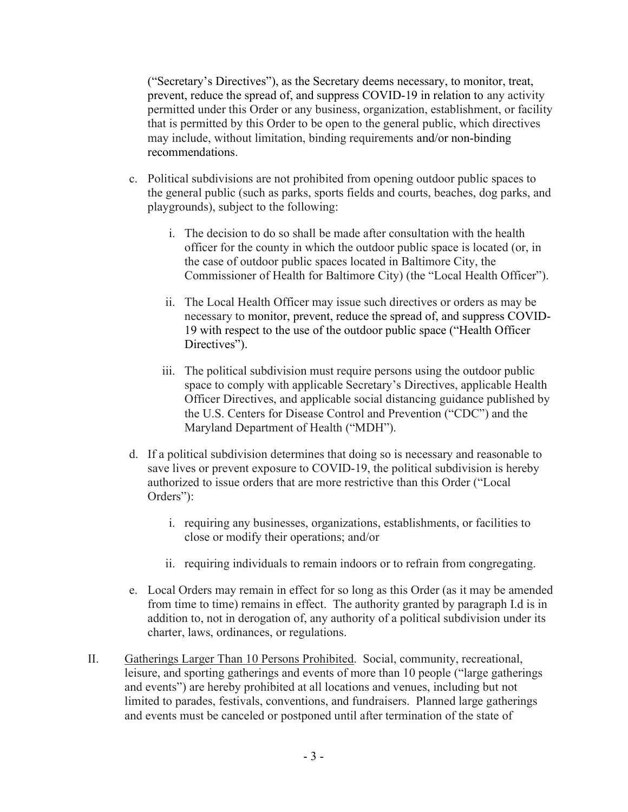("Secretary's Directives"), as the Secretary deems necessary, to monitor, treat, prevent, reduce the spread of, and suppress COVID-19 in relation to any activity permitted under this Order or any business, organization, establishment, or facility that is permitted by this Order to be open to the general public, which directives may include, without limitation, binding requirements and/or non-binding recommendations.

- c. Political subdivisions are not prohibited from opening outdoor public spaces to the general public (such as parks, sports fields and courts, beaches, dog parks, and playgrounds), subject to the following:
	- i. The decision to do so shall be made after consultation with the health officer for the county in which the outdoor public space is located (or, in the case of outdoor public spaces located in Baltimore City, the Commissioner of Health for Baltimore City) (the "Local Health Officer").
	- ii. The Local Health Officer may issue such directives or orders as may be necessary to monitor, prevent, reduce the spread of, and suppress COVID-19 with respect to the use of the outdoor public space ("Health Officer Directives").
	- iii. The political subdivision must require persons using the outdoor public space to comply with applicable Secretary's Directives, applicable Health Officer Directives, and applicable social distancing guidance published by the U.S. Centers for Disease Control and Prevention ("CDC") and the Maryland Department of Health ("MDH").
- d. If a political subdivision determines that doing so is necessary and reasonable to save lives or prevent exposure to COVID-19, the political subdivision is hereby authorized to issue orders that are more restrictive than this Order ("Local Orders"):
	- i. requiring any businesses, organizations, establishments, or facilities to close or modify their operations; and/or
	- ii. requiring individuals to remain indoors or to refrain from congregating.
- e. Local Orders may remain in effect for so long as this Order (as it may be amended from time to time) remains in effect. The authority granted by paragraph I.d is in addition to, not in derogation of, any authority of a political subdivision under its charter, laws, ordinances, or regulations.
- II. Gatherings Larger Than 10 Persons Prohibited. Social, community, recreational, leisure, and sporting gatherings and events of more than 10 people ("large gatherings and events") are hereby prohibited at all locations and venues, including but not limited to parades, festivals, conventions, and fundraisers. Planned large gatherings and events must be canceled or postponed until after termination of the state of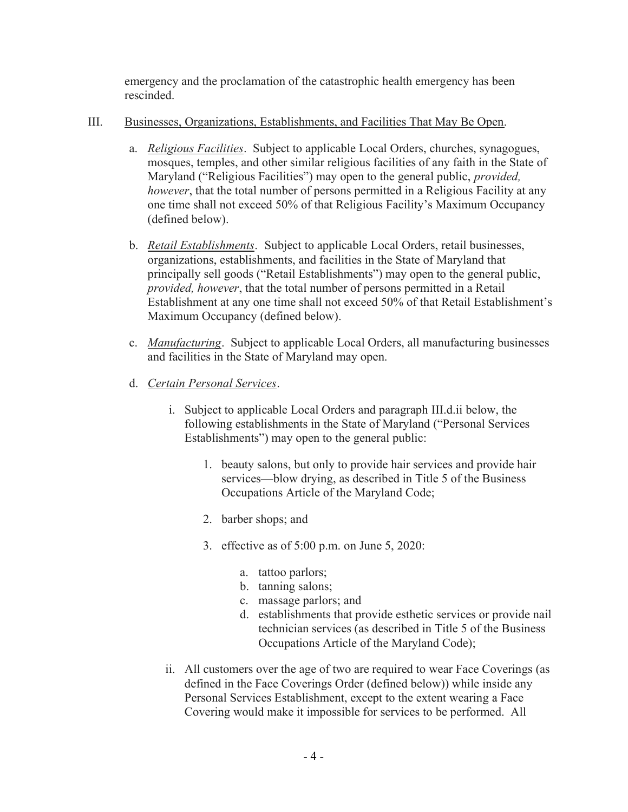emergency and the proclamation of the catastrophic health emergency has been rescinded.

#### III. Businesses, Organizations, Establishments, and Facilities That May Be Open.

- a. Religious Facilities. Subject to applicable Local Orders, churches, synagogues, mosques, temples, and other similar religious facilities of any faith in the State of Maryland ("Religious Facilities") may open to the general public, *provided*, however, that the total number of persons permitted in a Religious Facility at any one time shall not exceed 50% of that Religious Facility's Maximum Occupancy (defined below).
- b. Retail Establishments. Subject to applicable Local Orders, retail businesses, organizations, establishments, and facilities in the State of Maryland that principally sell goods ("Retail Establishments") may open to the general public, provided, however, that the total number of persons permitted in a Retail Establishment at any one time shall not exceed 50% of that Retail Establishment's Maximum Occupancy (defined below).
- c. *Manufacturing*. Subject to applicable Local Orders, all manufacturing businesses and facilities in the State of Maryland may open.
- d. Certain Personal Services.
	- i. Subject to applicable Local Orders and paragraph III.d.ii below, the following establishments in the State of Maryland ("Personal Services Establishments") may open to the general public:
		- 1. beauty salons, but only to provide hair services and provide hair services—blow drying, as described in Title 5 of the Business Occupations Article of the Maryland Code;
		- 2. barber shops; and
		- 3. effective as of 5:00 p.m. on June 5, 2020:
			- a. tattoo parlors;
			- b. tanning salons;
			- c. massage parlors; and
			- d. establishments that provide esthetic services or provide nail technician services (as described in Title 5 of the Business Occupations Article of the Maryland Code);
	- ii. All customers over the age of two are required to wear Face Coverings (as defined in the Face Coverings Order (defined below)) while inside any Personal Services Establishment, except to the extent wearing a Face Covering would make it impossible for services to be performed. All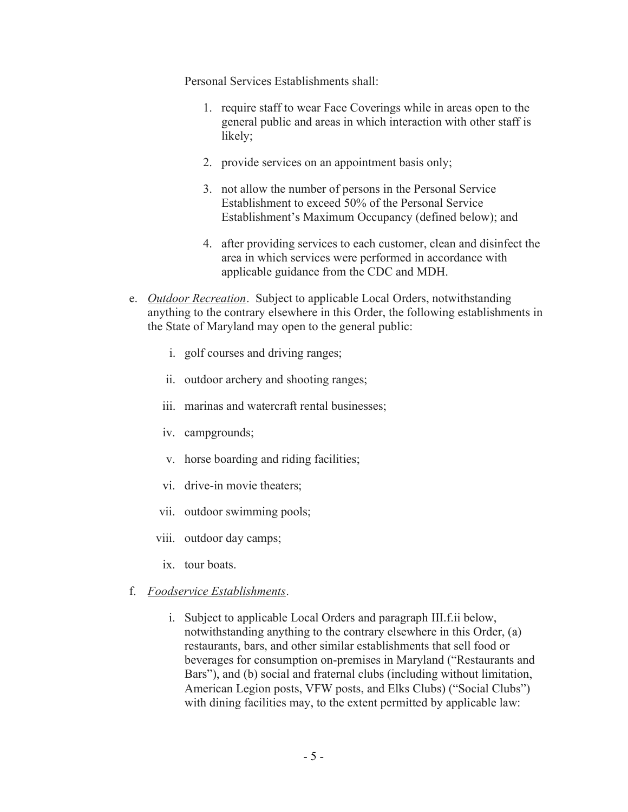Personal Services Establishments shall:

- 1. require staff to wear Face Coverings while in areas open to the general public and areas in which interaction with other staff is likely;
- 2. provide services on an appointment basis only;
- 3. not allow the number of persons in the Personal Service Establishment to exceed 50% of the Personal Service Establishment's Maximum Occupancy (defined below); and
- 4. after providing services to each customer, clean and disinfect the area in which services were performed in accordance with applicable guidance from the CDC and MDH.
- e. Outdoor Recreation. Subject to applicable Local Orders, notwithstanding anything to the contrary elsewhere in this Order, the following establishments in the State of Maryland may open to the general public:
	- i. golf courses and driving ranges;
	- ii. outdoor archery and shooting ranges;
	- iii. marinas and watercraft rental businesses;
	- iv. campgrounds;
	- v. horse boarding and riding facilities;
	- vi. drive-in movie theaters;
	- vii. outdoor swimming pools;
	- viii. outdoor day camps;
	- ix. tour boats.
- f. Foodservice Establishments.
	- i. Subject to applicable Local Orders and paragraph III.f.ii below, notwithstanding anything to the contrary elsewhere in this Order, (a) restaurants, bars, and other similar establishments that sell food or beverages for consumption on-premises in Maryland ("Restaurants and Bars"), and (b) social and fraternal clubs (including without limitation, American Legion posts, VFW posts, and Elks Clubs) ("Social Clubs") with dining facilities may, to the extent permitted by applicable law: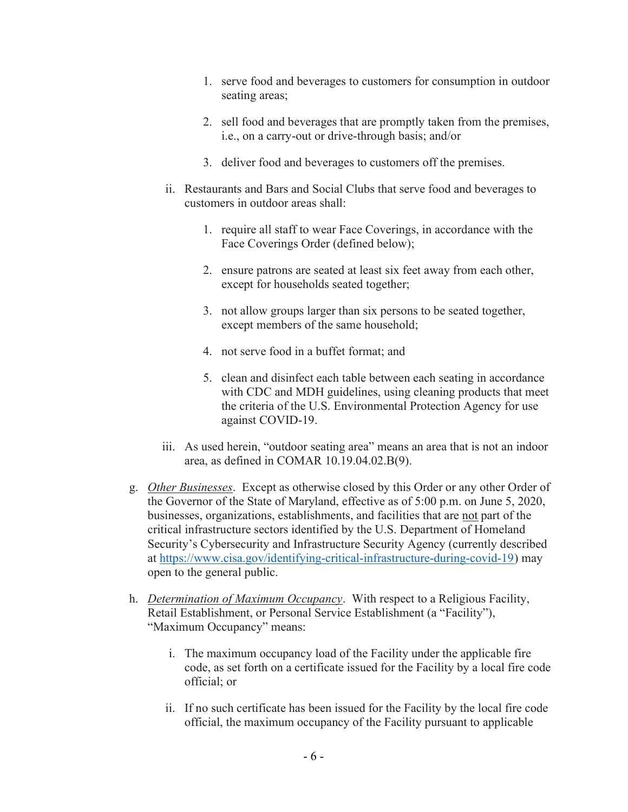- 1. serve food and beverages to customers for consumption in outdoor seating areas;
- 2. sell food and beverages that are promptly taken from the premises, i.e., on a carry-out or drive-through basis; and/or
- 3. deliver food and beverages to customers off the premises.
- ii. Restaurants and Bars and Social Clubs that serve food and beverages to customers in outdoor areas shall:
	- 1. require all staff to wear Face Coverings, in accordance with the Face Coverings Order (defined below);
	- 2. ensure patrons are seated at least six feet away from each other, except for households seated together;
	- 3. not allow groups larger than six persons to be seated together, except members of the same household;
	- 4. not serve food in a buffet format; and
	- 5. clean and disinfect each table between each seating in accordance with CDC and MDH guidelines, using cleaning products that meet the criteria of the U.S. Environmental Protection Agency for use against COVID-19.
- iii. As used herein, "outdoor seating area" means an area that is not an indoor area, as defined in COMAR 10.19.04.02.B(9).
- g. Other Businesses. Except as otherwise closed by this Order or any other Order of the Governor of the State of Maryland, effective as of 5:00 p.m. on June 5, 2020, businesses, organizations, establishments, and facilities that are not part of the critical infrastructure sectors identified by the U.S. Department of Homeland Security's Cybersecurity and Infrastructure Security Agency (currently described at https://www.cisa.gov/identifying-critical-infrastructure-during-covid-19) may open to the general public.
- h. *Determination of Maximum Occupancy*. With respect to a Religious Facility, Retail Establishment, or Personal Service Establishment (a "Facility"), "Maximum Occupancy" means:
	- i. The maximum occupancy load of the Facility under the applicable fire code, as set forth on a certificate issued for the Facility by a local fire code official; or
	- ii. If no such certificate has been issued for the Facility by the local fire code official, the maximum occupancy of the Facility pursuant to applicable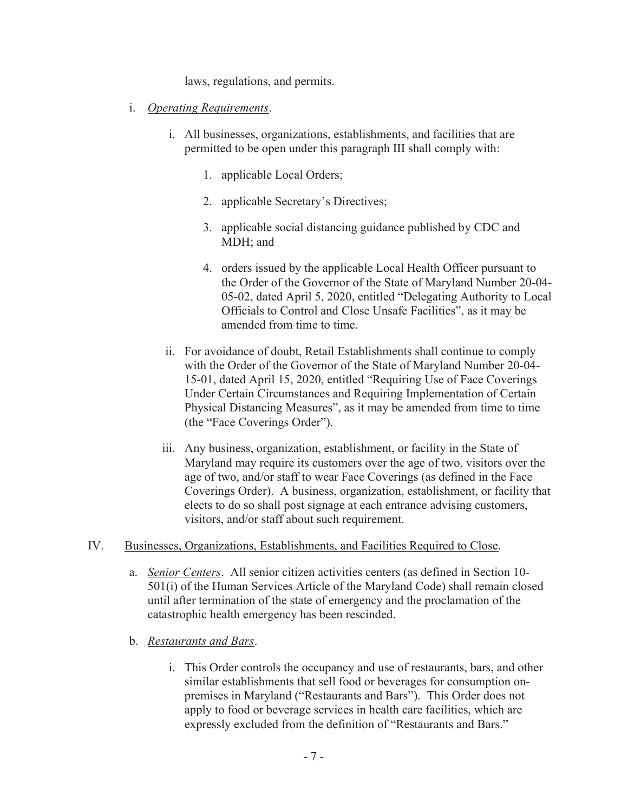laws, regulations, and permits.

- i. Operating Requirements.
	- i. All businesses, organizations, establishments, and facilities that are permitted to be open under this paragraph III shall comply with:
		- 1. applicable Local Orders;
		- 2. applicable Secretary's Directives;
		- 3. applicable social distancing guidance published by CDC and MDH; and
		- 4. orders issued by the applicable Local Health Officer pursuant to the Order of the Governor of the State of Maryland Number 20-04- 05-02, dated April 5, 2020, entitled "Delegating Authority to Local Officials to Control and Close Unsafe Facilities", as it may be amended from time to time.
	- ii. For avoidance of doubt, Retail Establishments shall continue to comply with the Order of the Governor of the State of Maryland Number 20-04- 15-01, dated April 15, 2020, entitled "Requiring Use of Face Coverings Under Certain Circumstances and Requiring Implementation of Certain Physical Distancing Measures", as it may be amended from time to time (the "Face Coverings Order").
	- iii. Any business, organization, establishment, or facility in the State of Maryland may require its customers over the age of two, visitors over the age of two, and/or staff to wear Face Coverings (as defined in the Face Coverings Order). A business, organization, establishment, or facility that elects to do so shall post signage at each entrance advising customers, visitors, and/or staff about such requirement.

#### IV. Businesses, Organizations, Establishments, and Facilities Required to Close.

- a. Senior Centers. All senior citizen activities centers (as defined in Section 10- 501(i) of the Human Services Article of the Maryland Code) shall remain closed until after termination of the state of emergency and the proclamation of the catastrophic health emergency has been rescinded.
- b. Restaurants and Bars.
	- i. This Order controls the occupancy and use of restaurants, bars, and other similar establishments that sell food or beverages for consumption onpremises in Maryland ("Restaurants and Bars"). This Order does not apply to food or beverage services in health care facilities, which are expressly excluded from the definition of "Restaurants and Bars."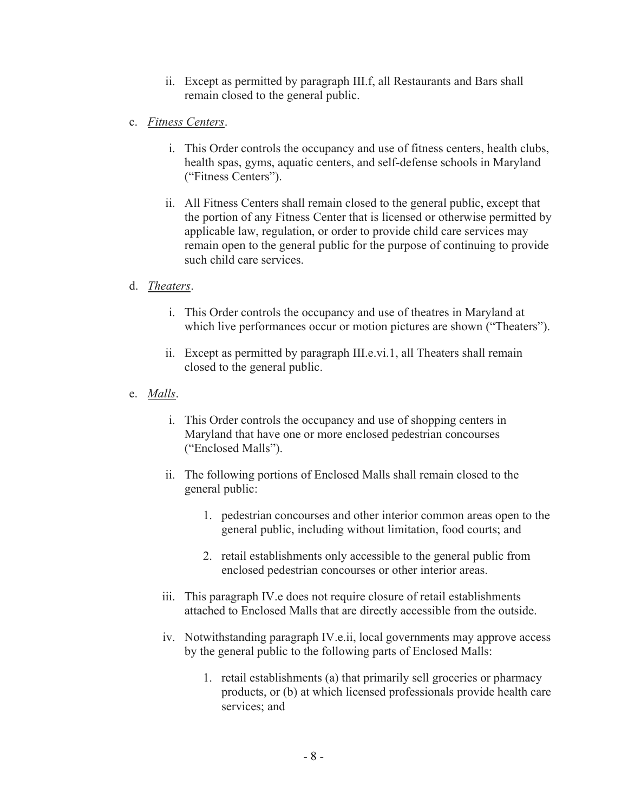- ii. Except as permitted by paragraph III.f, all Restaurants and Bars shall remain closed to the general public.
- c. Fitness Centers.
	- i. This Order controls the occupancy and use of fitness centers, health clubs, health spas, gyms, aquatic centers, and self-defense schools in Maryland ("Fitness Centers").
	- ii. All Fitness Centers shall remain closed to the general public, except that the portion of any Fitness Center that is licensed or otherwise permitted by applicable law, regulation, or order to provide child care services may remain open to the general public for the purpose of continuing to provide such child care services.

#### d. Theaters.

- i. This Order controls the occupancy and use of theatres in Maryland at which live performances occur or motion pictures are shown ("Theaters").
- ii. Except as permitted by paragraph III.e.vi.1, all Theaters shall remain closed to the general public.
- e. Malls.
	- i. This Order controls the occupancy and use of shopping centers in Maryland that have one or more enclosed pedestrian concourses ("Enclosed Malls").
	- ii. The following portions of Enclosed Malls shall remain closed to the general public:
		- 1. pedestrian concourses and other interior common areas open to the general public, including without limitation, food courts; and
		- 2. retail establishments only accessible to the general public from enclosed pedestrian concourses or other interior areas.
	- iii. This paragraph IV.e does not require closure of retail establishments attached to Enclosed Malls that are directly accessible from the outside.
	- iv. Notwithstanding paragraph IV.e.ii, local governments may approve access by the general public to the following parts of Enclosed Malls:
		- 1. retail establishments (a) that primarily sell groceries or pharmacy products, or (b) at which licensed professionals provide health care services; and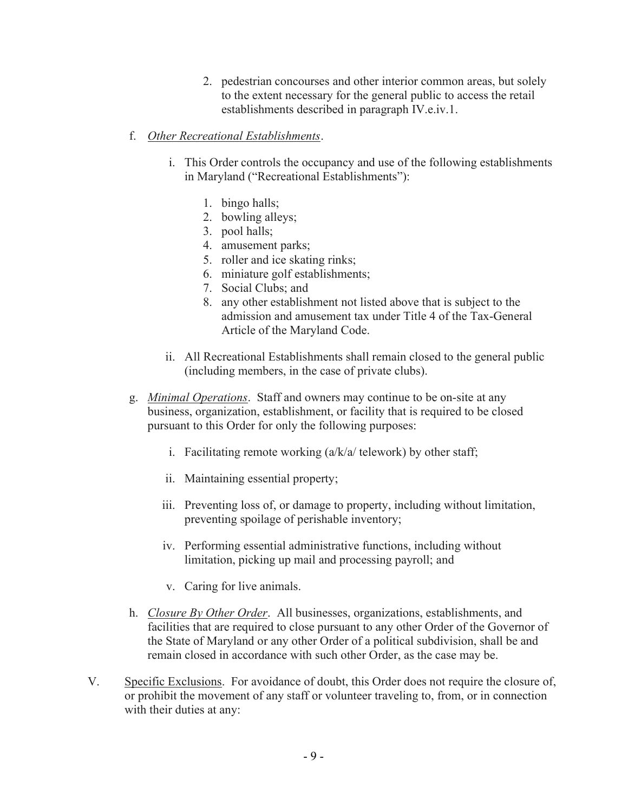- 2. pedestrian concourses and other interior common areas, but solely to the extent necessary for the general public to access the retail establishments described in paragraph IV.e.iv.1.
- f. Other Recreational Establishments.
	- i. This Order controls the occupancy and use of the following establishments in Maryland ("Recreational Establishments"):
		- 1. bingo halls;
		- 2. bowling alleys;
		- 3. pool halls;
		- 4. amusement parks;
		- 5. roller and ice skating rinks;
		- 6. miniature golf establishments;
		- 7. Social Clubs; and
		- 8. any other establishment not listed above that is subject to the admission and amusement tax under Title 4 of the Tax-General Article of the Maryland Code.
	- ii. All Recreational Establishments shall remain closed to the general public (including members, in the case of private clubs).
- g. Minimal Operations. Staff and owners may continue to be on-site at any business, organization, establishment, or facility that is required to be closed pursuant to this Order for only the following purposes:
	- i. Facilitating remote working  $(a/k/a / \text{telework})$  by other staff;
	- ii. Maintaining essential property;
	- iii. Preventing loss of, or damage to property, including without limitation, preventing spoilage of perishable inventory;
	- iv. Performing essential administrative functions, including without limitation, picking up mail and processing payroll; and
	- v. Caring for live animals.
- h. *Closure By Other Order*. All businesses, organizations, establishments, and facilities that are required to close pursuant to any other Order of the Governor of the State of Maryland or any other Order of a political subdivision, shall be and remain closed in accordance with such other Order, as the case may be.
- V. Specific Exclusions. For avoidance of doubt, this Order does not require the closure of, or prohibit the movement of any staff or volunteer traveling to, from, or in connection with their duties at any: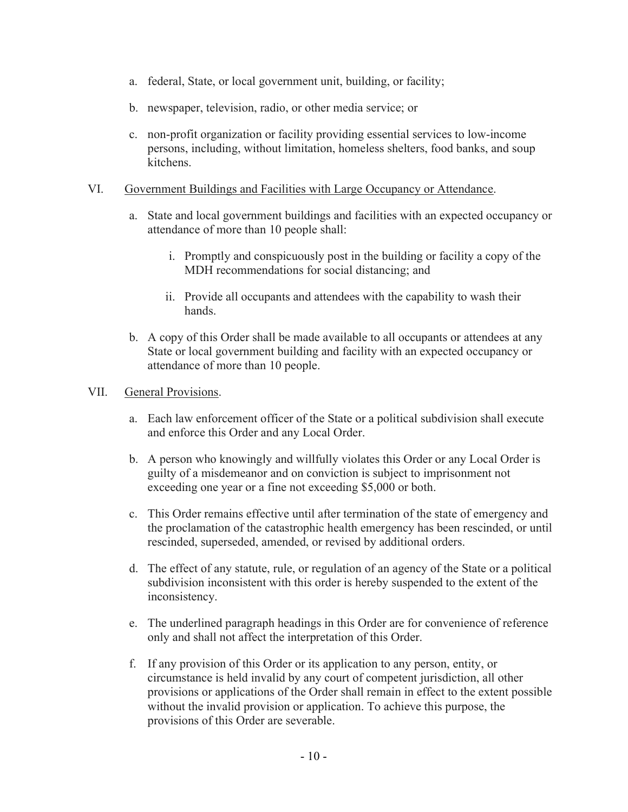- a. federal, State, or local government unit, building, or facility;
- b. newspaper, television, radio, or other media service; or
- c. non-profit organization or facility providing essential services to low-income persons, including, without limitation, homeless shelters, food banks, and soup kitchens.

#### VI. Government Buildings and Facilities with Large Occupancy or Attendance.

- a. State and local government buildings and facilities with an expected occupancy or attendance of more than 10 people shall:
	- i. Promptly and conspicuously post in the building or facility a copy of the MDH recommendations for social distancing; and
	- ii. Provide all occupants and attendees with the capability to wash their hands.
- b. A copy of this Order shall be made available to all occupants or attendees at any State or local government building and facility with an expected occupancy or attendance of more than 10 people.

#### VII. General Provisions.

- a. Each law enforcement officer of the State or a political subdivision shall execute and enforce this Order and any Local Order.
- b. A person who knowingly and willfully violates this Order or any Local Order is guilty of a misdemeanor and on conviction is subject to imprisonment not exceeding one year or a fine not exceeding \$5,000 or both.
- c. This Order remains effective until after termination of the state of emergency and the proclamation of the catastrophic health emergency has been rescinded, or until rescinded, superseded, amended, or revised by additional orders.
- d. The effect of any statute, rule, or regulation of an agency of the State or a political subdivision inconsistent with this order is hereby suspended to the extent of the inconsistency.
- e. The underlined paragraph headings in this Order are for convenience of reference only and shall not affect the interpretation of this Order.
- f. If any provision of this Order or its application to any person, entity, or circumstance is held invalid by any court of competent jurisdiction, all other provisions or applications of the Order shall remain in effect to the extent possible without the invalid provision or application. To achieve this purpose, the provisions of this Order are severable.